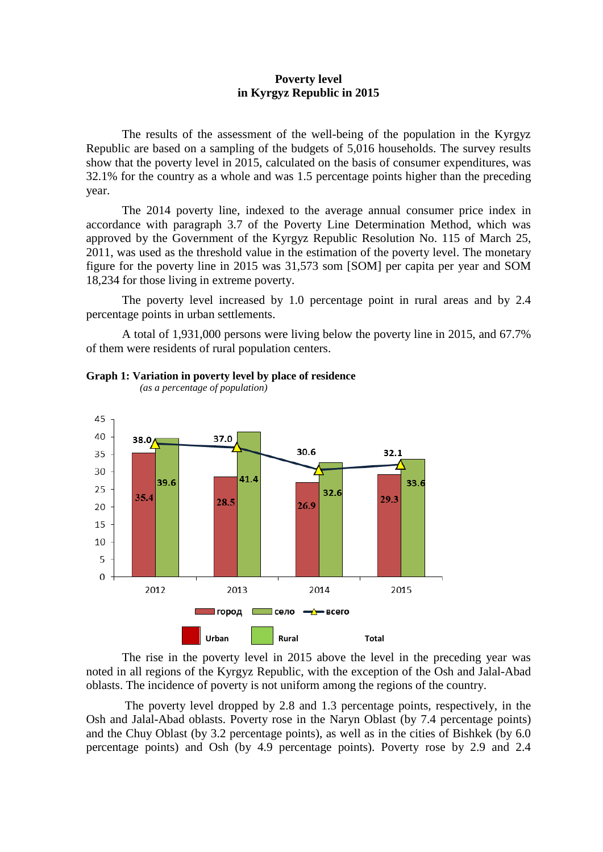## **Poverty level in Kyrgyz Republic in 2015**

The results of the assessment of the well-being of the population in the Kyrgyz Republic are based on a sampling of the budgets of 5,016 households. The survey results show that the poverty level in 2015, calculated on the basis of consumer expenditures, was 32.1% for the country as a whole and was 1.5 percentage points higher than the preceding year.

The 2014 poverty line, indexed to the average annual consumer price index in accordance with paragraph 3.7 of the Poverty Line Determination Method, which was approved by the Government of the Kyrgyz Republic Resolution No. 115 of March 25, 2011, was used as the threshold value in the estimation of the poverty level. The monetary figure for the poverty line in 2015 was 31,573 som [SOM] per capita per year and SOM 18,234 for those living in extreme poverty.

The poverty level increased by 1.0 percentage point in rural areas and by 2.4 percentage points in urban settlements.

A total of 1,931,000 persons were living below the poverty line in 2015, and 67.7% of them were residents of rural population centers.





 *(as a percentage of population)*

The rise in the poverty level in 2015 above the level in the preceding year was noted in all regions of the Kyrgyz Republic, with the exception of the Osh and Jalal-Abad oblasts. The incidence of poverty is not uniform among the regions of the country.

The poverty level dropped by 2.8 and 1.3 percentage points, respectively, in the Osh and Jalal-Abad oblasts. Poverty rose in the Naryn Oblast (by 7.4 percentage points) and the Chuy Oblast (by 3.2 percentage points), as well as in the cities of Bishkek (by 6.0 percentage points) and Osh (by 4.9 percentage points). Poverty rose by 2.9 and 2.4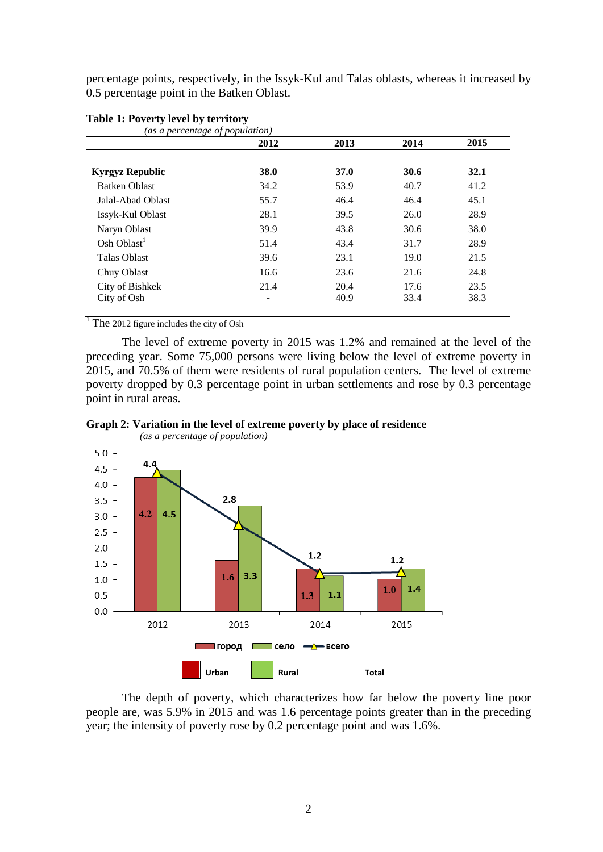percentage points, respectively, in the Issyk-Kul and Talas oblasts, whereas it increased by 0.5 percentage point in the Batken Oblast.

| (as a percentage of population) |      |             |      |      |
|---------------------------------|------|-------------|------|------|
|                                 | 2012 | 2013        | 2014 | 2015 |
| <b>Kyrgyz Republic</b>          | 38.0 | <b>37.0</b> | 30.6 | 32.1 |
| <b>Batken Oblast</b>            | 34.2 | 53.9        | 40.7 | 41.2 |
| Jalal-Abad Oblast               | 55.7 | 46.4        | 46.4 | 45.1 |
| Issyk-Kul Oblast                | 28.1 | 39.5        | 26.0 | 28.9 |
| Naryn Oblast                    | 39.9 | 43.8        | 30.6 | 38.0 |
| Osh Oblast <sup>1</sup>         | 51.4 | 43.4        | 31.7 | 28.9 |
| <b>Talas Oblast</b>             | 39.6 | 23.1        | 19.0 | 21.5 |
| Chuy Oblast                     | 16.6 | 23.6        | 21.6 | 24.8 |
| City of Bishkek                 | 21.4 | 20.4        | 17.6 | 23.5 |
| City of Osh                     | -    | 40.9        | 33.4 | 38.3 |

## **Table 1: Poverty level by territory**

 $\frac{1}{1}$  The 2012 figure includes the city of Osh

The level of extreme poverty in 2015 was 1.2% and remained at the level of the preceding year. Some 75,000 persons were living below the level of extreme poverty in 2015, and 70.5% of them were residents of rural population centers. The level of extreme poverty dropped by 0.3 percentage point in urban settlements and rose by 0.3 percentage point in rural areas.





The depth of poverty, which characterizes how far below the poverty line poor people are, was 5.9% in 2015 and was 1.6 percentage points greater than in the preceding year; the intensity of poverty rose by 0.2 percentage point and was 1.6%.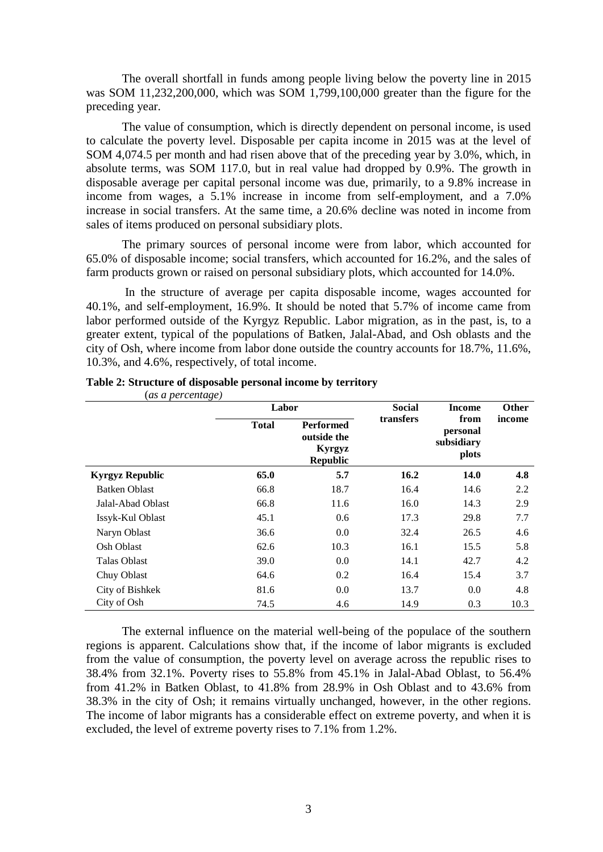The overall shortfall in funds among people living below the poverty line in 2015 was SOM 11,232,200,000, which was SOM 1,799,100,000 greater than the figure for the preceding year.

The value of consumption, which is directly dependent on personal income, is used to calculate the poverty level. Disposable per capita income in 2015 was at the level of SOM 4,074.5 per month and had risen above that of the preceding year by 3.0%, which, in absolute terms, was SOM 117.0, but in real value had dropped by 0.9%. The growth in disposable average per capital personal income was due, primarily, to a 9.8% increase in income from wages, a 5.1% increase in income from self-employment, and a 7.0% increase in social transfers. At the same time, a 20.6% decline was noted in income from sales of items produced on personal subsidiary plots.

The primary sources of personal income were from labor, which accounted for 65.0% of disposable income; social transfers, which accounted for 16.2%, and the sales of farm products grown or raised on personal subsidiary plots, which accounted for 14.0%.

In the structure of average per capita disposable income, wages accounted for 40.1%, and self-employment, 16.9%. It should be noted that 5.7% of income came from labor performed outside of the Kyrgyz Republic. Labor migration, as in the past, is, to a greater extent, typical of the populations of Batken, Jalal-Abad, and Osh oblasts and the city of Osh, where income from labor done outside the country accounts for 18.7%, 11.6%, 10.3%, and 4.6%, respectively, of total income.

| (as a percentage)      |              |                                                              | <b>Social</b> |                                         |              |
|------------------------|--------------|--------------------------------------------------------------|---------------|-----------------------------------------|--------------|
|                        |              | Labor                                                        |               | Income                                  | <b>Other</b> |
|                        | <b>Total</b> | <b>Performed</b><br>outside the<br>Kyrgyz<br><b>Republic</b> | transfers     | from<br>personal<br>subsidiary<br>plots | income       |
| <b>Kyrgyz Republic</b> | 65.0         | 5.7                                                          | 16.2          | 14.0                                    | 4.8          |
| <b>Batken Oblast</b>   | 66.8         | 18.7                                                         | 16.4          | 14.6                                    | 2.2          |
| Jalal-Abad Oblast      | 66.8         | 11.6                                                         | 16.0          | 14.3                                    | 2.9          |
| Issyk-Kul Oblast       | 45.1         | 0.6                                                          | 17.3          | 29.8                                    | 7.7          |
| Naryn Oblast           | 36.6         | 0.0                                                          | 32.4          | 26.5                                    | 4.6          |
| Osh Oblast             | 62.6         | 10.3                                                         | 16.1          | 15.5                                    | 5.8          |
| Talas Oblast           | 39.0         | 0.0                                                          | 14.1          | 42.7                                    | 4.2          |
| Chuy Oblast            | 64.6         | 0.2                                                          | 16.4          | 15.4                                    | 3.7          |
| City of Bishkek        | 81.6         | 0.0                                                          | 13.7          | 0.0                                     | 4.8          |
| City of Osh            | 74.5         | 4.6                                                          | 14.9          | 0.3                                     | 10.3         |

## **Table 2: Structure of disposable personal income by territory** (*as a percentage)*

The external influence on the material well-being of the populace of the southern regions is apparent. Calculations show that, if the income of labor migrants is excluded from the value of consumption, the poverty level on average across the republic rises to 38.4% from 32.1%. Poverty rises to 55.8% from 45.1% in Jalal-Abad Oblast, to 56.4% from 41.2% in Batken Oblast, to 41.8% from 28.9% in Osh Oblast and to 43.6% from 38.3% in the city of Osh; it remains virtually unchanged, however, in the other regions. The income of labor migrants has a considerable effect on extreme poverty, and when it is excluded, the level of extreme poverty rises to 7.1% from 1.2%.